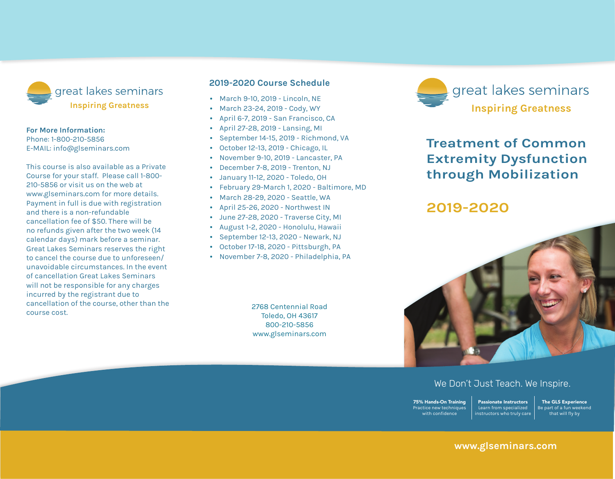

#### **For More Information:**

Phone: 1-800-210-5856 E-mail: info@glseminars.com

Payment in full is due with registration and there is a non-refundable cancellation fee of \$50. There will be no refunds given within two weeks (14 calendar days) of the seminar. Great Lakes Seminars reserves the right to cancel the course due to unforeseen/ unavoidable circumstances. In the event of a cancellation Great Lakes Seminars will not be responsible for any charges incurred by the registrant other than the course cost.

This course is also available as a private course for your staff. Please call 1-800-210-5856 or visit us on the web at www.glseminars.com for more details.

#### **2022 Course Schedule**

- May 14-15, 2022 Rockford, IL
- June 11-12, 2022 Virginia Beach, VA
- July 16-17, 2022 Traverse City, MI
- August 20-21, 2022 Hackensack, NJ
- October 15-16, 2022 Reno, NV
- November 5-6, 2022 Portland, OR

Please check our website for the most updated schedule: www.glseminars.com



# **Treatment of Common Extremity Dysfunction through Mobilization**

## **2022**



## We Don't Just Teach. We Inspire.

75% Hands-On Training Practice new techniques with confidence Passionate Instructors Learn from specialized instructors who truly care

The GLS Experience Be part of a fun weekend that will fly by

### **www.glseminars.com**